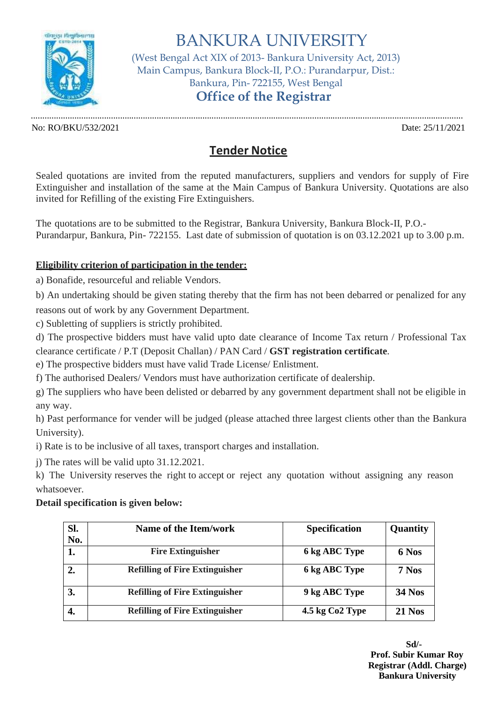

BANKURA UNIVERSITY (West Bengal Act XIX of 2013- Bankura University Act, 2013) Main Campus, Bankura Block-II, P.O.: Purandarpur, Dist.: Bankura, Pin- 722155, West Bengal **Office of the Registrar**

............................................................................................................................................................................................. No: RO/BKU/532/2021 Date: 25/11/2021

## **Tender Notice**

Sealed quotations are invited from the reputed manufacturers, suppliers and vendors for supply of Fire Extinguisher and installation of the same at the Main Campus of Bankura University. Quotations are also invited for Refilling of the existing Fire Extinguishers.

The quotations are to be submitted to the Registrar, Bankura University, Bankura Block-II, P.O.- Purandarpur, Bankura, Pin- 722155. Last date of submission of quotation is on 03.12.2021 up to 3.00 p.m.

## **Eligibility criterion of participation in the tender:**

a) Bonafide, resourceful and reliable Vendors.

b) An undertaking should be given stating thereby that the firm has not been debarred or penalized for any reasons out of work by any Government Department.

c) Subletting of suppliers is strictly prohibited.

d) The prospective bidders must have valid upto date clearance of Income Tax return / Professional Tax clearance certificate / P.T (Deposit Challan) / PAN Card / **GST registration certificate**.

e) The prospective bidders must have valid Trade License/ Enlistment.

f) The authorised Dealers/ Vendors must have authorization certificate of dealership.

g) The suppliers who have been delisted or debarred by any government department shall not be eligible in any way.

h) Past performance for vender will be judged (please attached three largest clients other than the Bankura University).

i) Rate is to be inclusive of all taxes, transport charges and installation.

j) The rates will be valid upto 31.12.2021.

k) The University reserves the right to accept or reject any quotation without assigning any reason whatsoever.

## **Detail specification is given below:**

| SI. | Name of the Item/work                 | <b>Specification</b>        | Quantity      |
|-----|---------------------------------------|-----------------------------|---------------|
| No. |                                       |                             |               |
|     | <b>Fire Extinguisher</b>              | 6 kg ABC Type               | 6 Nos         |
|     | <b>Refilling of Fire Extinguisher</b> | 6 kg ABC Type               | 7 Nos         |
| 3.  | <b>Refilling of Fire Extinguisher</b> | 9 kg ABC Type               | <b>34 Nos</b> |
| 4.  | <b>Refilling of Fire Extinguisher</b> | 4.5 kg Co <sub>2</sub> Type | <b>21 Nos</b> |

**Sd/- Prof. Subir Kumar Roy Registrar (Addl. Charge) Bankura University**